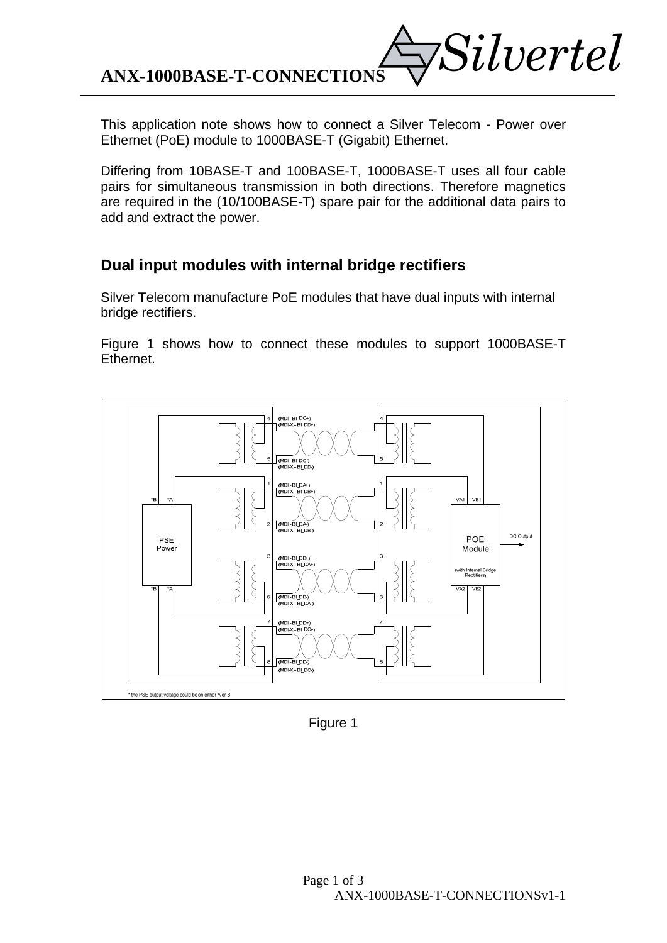*Silvertel* **ANX-1000BASE-T-CONNECTIONS** 

This application note shows how to connect a Silver Telecom - Power over Ethernet (PoE) module to 1000BASE-T (Gigabit) Ethernet.

Differing from 10BASE-T and 100BASE-T, 1000BASE-T uses all four cable pairs for simultaneous transmission in both directions. Therefore magnetics are required in the (10/100BASE-T) spare pair for the additional data pairs to add and extract the power.

## **Dual input modules with internal bridge rectifiers**

Silver Telecom manufacture PoE modules that have dual inputs with internal bridge rectifiers.

Figure 1 shows how to connect these modules to support 1000BASE-T Ethernet.



Figure 1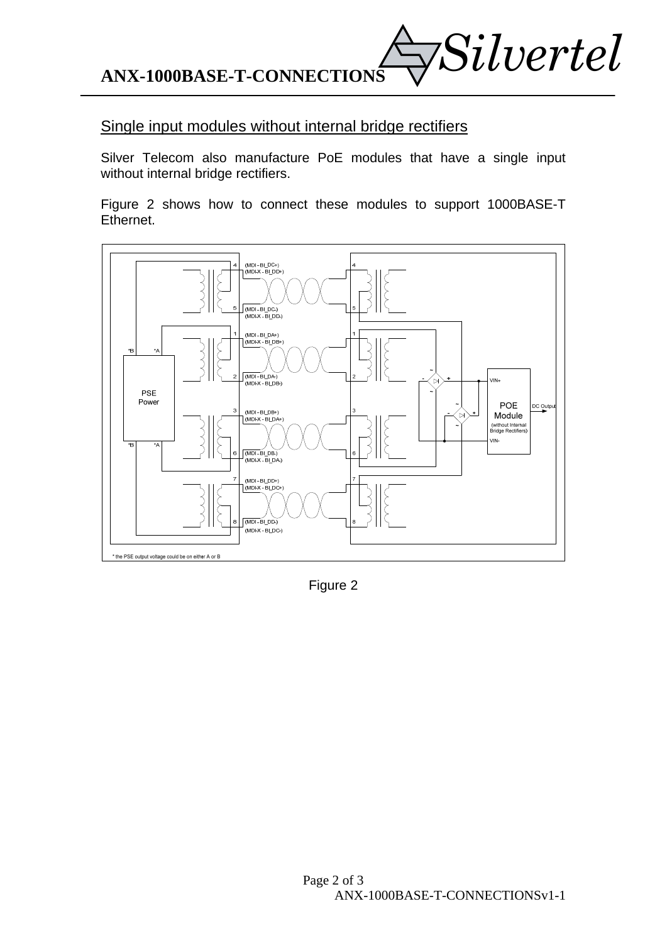*Silvertel* **ANX-1000BASE-T-CONNECTIONS** 

## Single input modules without internal bridge rectifiers

Silver Telecom also manufacture PoE modules that have a single input without internal bridge rectifiers.

Figure 2 shows how to connect these modules to support 1000BASE-T Ethernet.



Figure 2